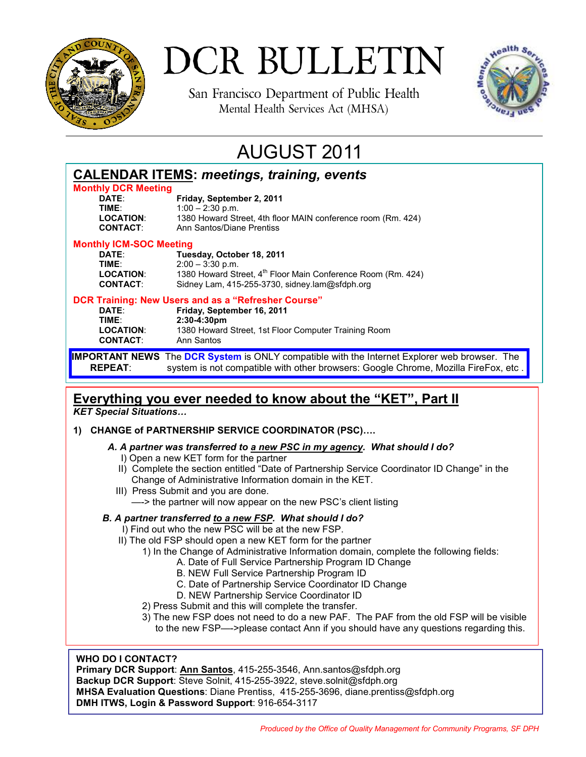

# DCR BULLETIN

San Francisco Department of Public Health Mental Health Services Act (MHSA)



## AUGUST 2011

| <b>CALENDAR ITEMS: meetings, training, events</b>     |                                                                                                                                                                                          |
|-------------------------------------------------------|------------------------------------------------------------------------------------------------------------------------------------------------------------------------------------------|
| <b>Monthly DCR Meeting</b>                            |                                                                                                                                                                                          |
| DATE:<br>TIME:                                        | Friday, September 2, 2011<br>$1:00 - 2:30$ p.m.                                                                                                                                          |
| <b>LOCATION:</b><br><b>CONTACT:</b>                   | 1380 Howard Street, 4th floor MAIN conference room (Rm. 424)<br>Ann Santos/Diane Prentiss                                                                                                |
| <b>Monthly ICM-SOC Meeting</b>                        |                                                                                                                                                                                          |
| DATE:<br>TIME:<br><b>LOCATION:</b><br><b>CONTACT:</b> | Tuesday, October 18, 2011<br>$2:00 - 3:30$ p.m.<br>1380 Howard Street, 4 <sup>th</sup> Floor Main Conference Room (Rm. 424)<br>Sidney Lam, 415-255-3730, sidney.lam@sfdph.org            |
| DATE:<br>TIME:<br><b>LOCATION:</b><br><b>CONTACT:</b> | DCR Training: New Users and as a "Refresher Course"<br>Friday, September 16, 2011<br>$2:30-4:30 \text{pm}$<br>1380 Howard Street, 1st Floor Computer Training Room<br>Ann Santos         |
| <b>REPEAT:</b>                                        | <b>IMPORTANT NEWS</b> The DCR System is ONLY compatible with the Internet Explorer web browser. The<br>system is not compatible with other browsers: Google Chrome, Mozilla FireFox, etc |

#### **Everything you ever needed to know about the "KET", Part II** *KET Special Situations…*

- **1) CHANGE of PARTNERSHIP SERVICE COORDINATOR (PSC)….** 
	- *A. A partner was transferred to a new PSC in my agency. What should I do?*
		- I) Open a new KET form for the partner
		- II) Complete the section entitled "Date of Partnership Service Coordinator ID Change" in the Change of Administrative Information domain in the KET.
		- III) Press Submit and you are done. —-> the partner will now appear on the new PSC's client listing

#### *B. A partner transferred to a new FSP. What should I do?*

- I) Find out who the new PSC will be at the new FSP.
- II) The old FSP should open a new KET form for the partner
	- 1) In the Change of Administrative Information domain, complete the following fields:
		- A. Date of Full Service Partnership Program ID Change
			- B. NEW Full Service Partnership Program ID
			- C. Date of Partnership Service Coordinator ID Change
			- D. NEW Partnership Service Coordinator ID
	- 2) Press Submit and this will complete the transfer.
	- 3) The new FSP does not need to do a new PAF. The PAF from the old FSP will be visible to the new FSP—->please contact Ann if you should have any questions regarding this.

#### **WHO DO I CONTACT?**

**Primary DCR Support**: **Ann Santos**, 415-255-3546, Ann.santos@sfdph.org **Backup DCR Support**: Steve Solnit, 415-255-3922, steve.solnit@sfdph.org **MHSA Evaluation Questions**: Diane Prentiss, 415-255-3696, diane.prentiss@sfdph.org **DMH ITWS, Login & Password Support**: 916-654-3117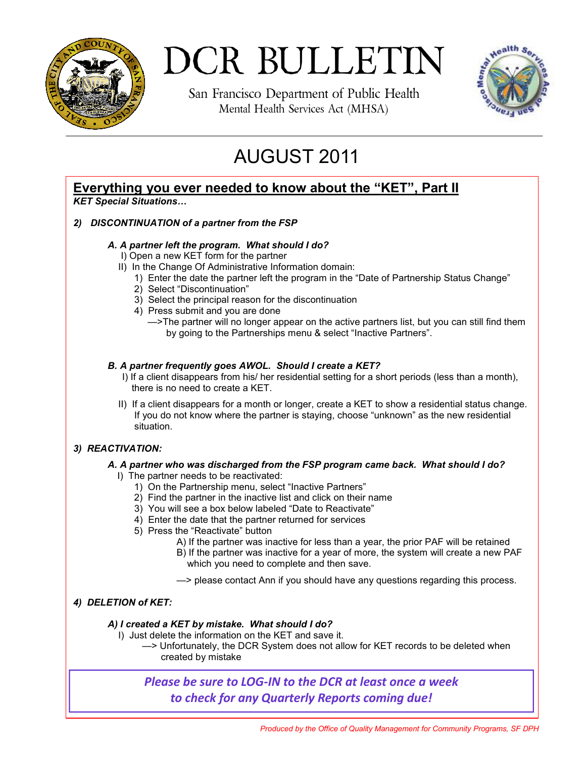

## DCR BULLETIN

San Francisco Department of Public Health Mental Health Services Act (MHSA)



## AUGUST 2011

#### **Everything you ever needed to know about the "KET", Part II**

*KET Special Situations…*

#### *2) DISCONTINUATION of a partner from the FSP*

#### *A. A partner left the program. What should I do?*

- I) Open a new KET form for the partner
- II) In the Change Of Administrative Information domain:
	- 1) Enter the date the partner left the program in the "Date of Partnership Status Change"
	- 2) Select "Discontinuation"
	- 3) Select the principal reason for the discontinuation
	- 4) Press submit and you are done
		- —>The partner will no longer appear on the active partners list, but you can still find them by going to the Partnerships menu & select "Inactive Partners".

#### *B. A partner frequently goes AWOL. Should I create a KET?*

- I) If a client disappears from his/ her residential setting for a short periods (less than a month), there is no need to create a KET.
- II) If a client disappears for a month or longer, create a KET to show a residential status change. If you do not know where the partner is staying, choose "unknown" as the new residential situation.

#### *3) REACTIVATION:*

#### *A. A partner who was discharged from the FSP program came back. What should I do?*

- I) The partner needs to be reactivated:
	- 1) On the Partnership menu, select "Inactive Partners"
	- 2) Find the partner in the inactive list and click on their name
	- 3) You will see a box below labeled "Date to Reactivate"
	- 4) Enter the date that the partner returned for services
	- 5) Press the "Reactivate" button
		- A) If the partner was inactive for less than a year, the prior PAF will be retained
		- B) If the partner was inactive for a year of more, the system will create a new PAF which you need to complete and then save.

—> please contact Ann if you should have any questions regarding this process.

#### *4) DELETION of KET:*

#### *A) I created a KET by mistake. What should I do?*

I) Just delete the information on the KET and save it.

 —> Unfortunately, the DCR System does not allow for KET records to be deleted when created by mistake

*Please be sure to LOG-IN to the DCR at least once a week to check for any Quarterly Reports coming due!*